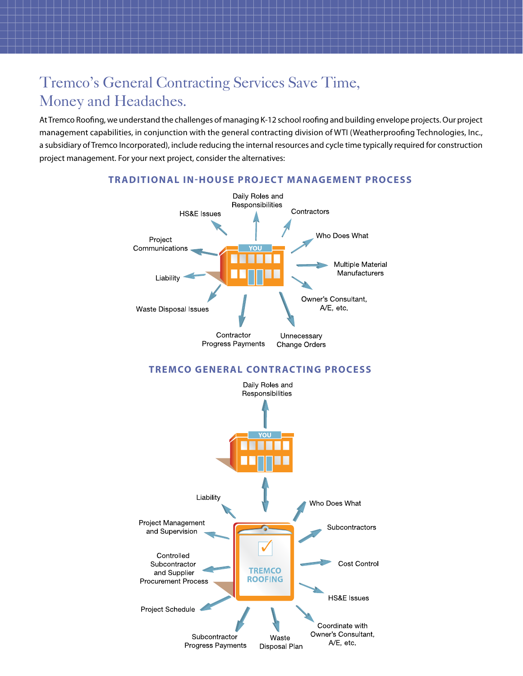## Tremco's General Contracting Services Save Time, Money and Headaches.

At Tremco Roofing, we understand the challenges of managing K-12 school roofing and building envelope projects. Our project management capabilities, in conjunction with the general contracting division of WTI (Weatherproofing Technologies, Inc., a subsidiary of Tremco Incorporated), include reducing the internal resources and cycle time typically required for construction project management. For your next project, consider the alternatives:

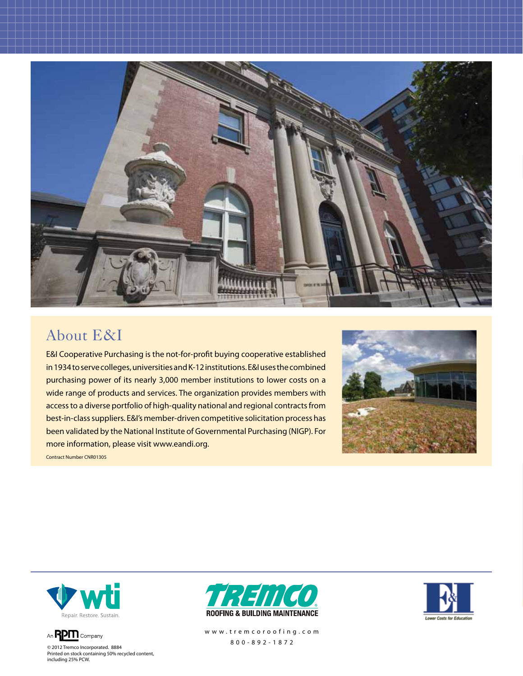

#### About E&I

E&I Cooperative Purchasing is the not-for-profit buying cooperative established in 1934 to serve colleges, universities and K-12 institutions. E&I uses the combined purchasing power of its nearly 3,000 member institutions to lower costs on a wide range of products and services. The organization provides members with access to a diverse portfolio of high-quality national and regional contracts from best-in-class suppliers. E&I's member-driven competitive solicitation process has been validated by the National Institute of Governmental Purchasing (NIGP). For more information, please visit [www.eandi.org](http://www.eandi.org).



Contract Number CNR01305





© 2012 Tremco Incorporated. 8884 Printed on stock containing 50% recycled content, including 25% PCW.



[w w w . t r e m c o r o o f i n g . c o m](http://www.tremcoroofing.com) 800-892-1872

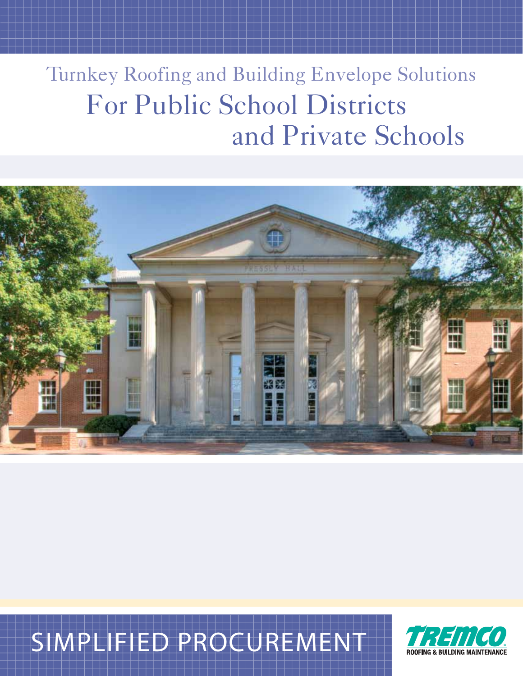# Turnkey Roofing and Building Envelope Solutions For Public School Districts and Private Schools



# SIMPLIFIED PROCUREMENT

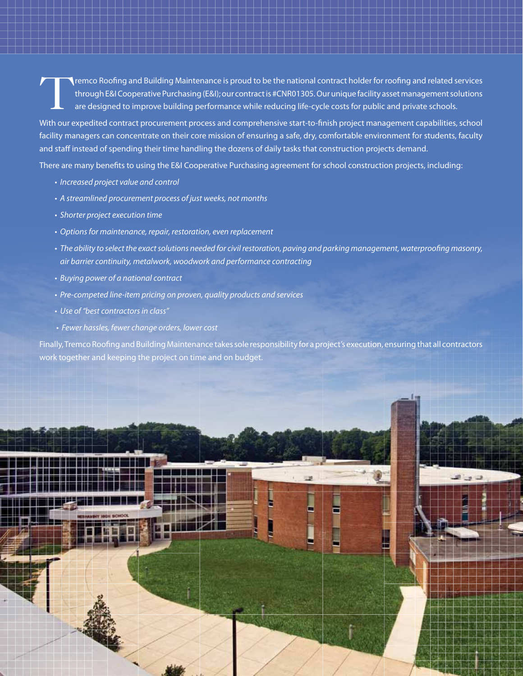Tremco Roofing and Building Maintenance is proud to be the national contract holder for roofing and related services<br>through E&I Cooperative Purchasing (E&I); our contract is #CNR01305. Our unique facility asset management through E&I Cooperative Purchasing (E&I); our contract is #CNR01305. Our unique facility asset management solutions are designed to improve building performance while reducing life-cycle costs for public and private schools.

With our expedited contract procurement process and comprehensive start-to-finish project management capabilities, school facility managers can concentrate on their core mission of ensuring a safe, dry, comfortable environment for students, faculty and staff instead of spending their time handling the dozens of daily tasks that construction projects demand.

There are many benefits to using the E&I Cooperative Purchasing agreement for school construction projects, including:

- Increased project value and control
- A streamlined procurement process of just weeks, not months
- Shorter project execution time
- Options for maintenance, repair, restoration, even replacement
- The ability to select the exact solutions needed for civil restoration, paving and parking management, waterproofing masonry, air barrier continuity, metalwork, woodwork and performance contracting
- Buying power of a national contract
- Pre-competed line-item pricing on proven, quality products and services
- Use of "best contractors in class"
- Fewer hassles, fewer change orders, lower cost

Finally, Tremco Roofing and Building Maintenance takes sole responsibility for a project's execution, ensuring that all contractors work together and keeping the project on time and on budget.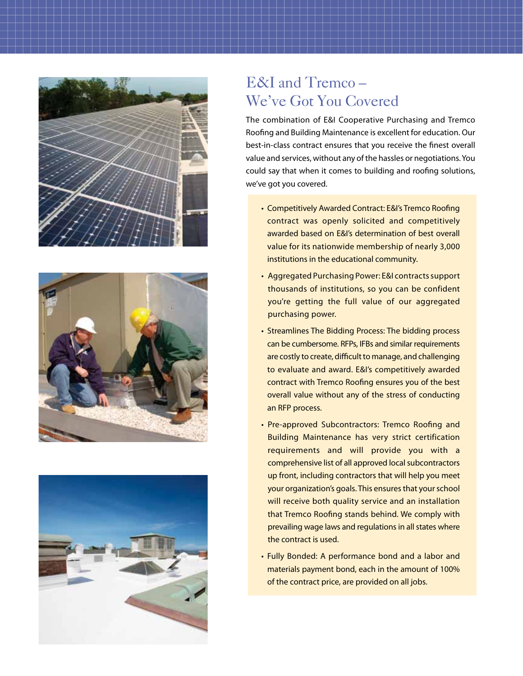





#### E&I and Tremco – We've Got You Covered

The combination of E&I Cooperative Purchasing and Tremco Roofing and Building Maintenance is excellent for education. Our best-in-class contract ensures that you receive the finest overall value and services, without any of the hassles or negotiations. You could say that when it comes to building and roofing solutions, we've got you covered.

- Competitively Awarded Contract: E&I's Tremco Roofing contract was openly solicited and competitively awarded based on E&I's determination of best overall value for its nationwide membership of nearly 3,000 institutions in the educational community.
- Aggregated Purchasing Power: E&I contracts support thousands of institutions, so you can be confident you're getting the full value of our aggregated purchasing power.
- Streamlines The Bidding Process: The bidding process can be cumbersome. RFPs, IFBs and similar requirements are costly to create, difficult to manage, and challenging to evaluate and award. E&I's competitively awarded contract with Tremco Roofing ensures you of the best overall value without any of the stress of conducting an RFP process.
- Pre-approved Subcontractors: Tremco Roofing and Building Maintenance has very strict certification requirements and will provide you with a comprehensive list of all approved local subcontractors up front, including contractors that will help you meet your organization's goals. This ensures that your school will receive both quality service and an installation that Tremco Roofing stands behind. We comply with prevailing wage laws and regulations in all states where the contract is used.
- Fully Bonded: A performance bond and a labor and materials payment bond, each in the amount of 100% of the contract price, are provided on all jobs.